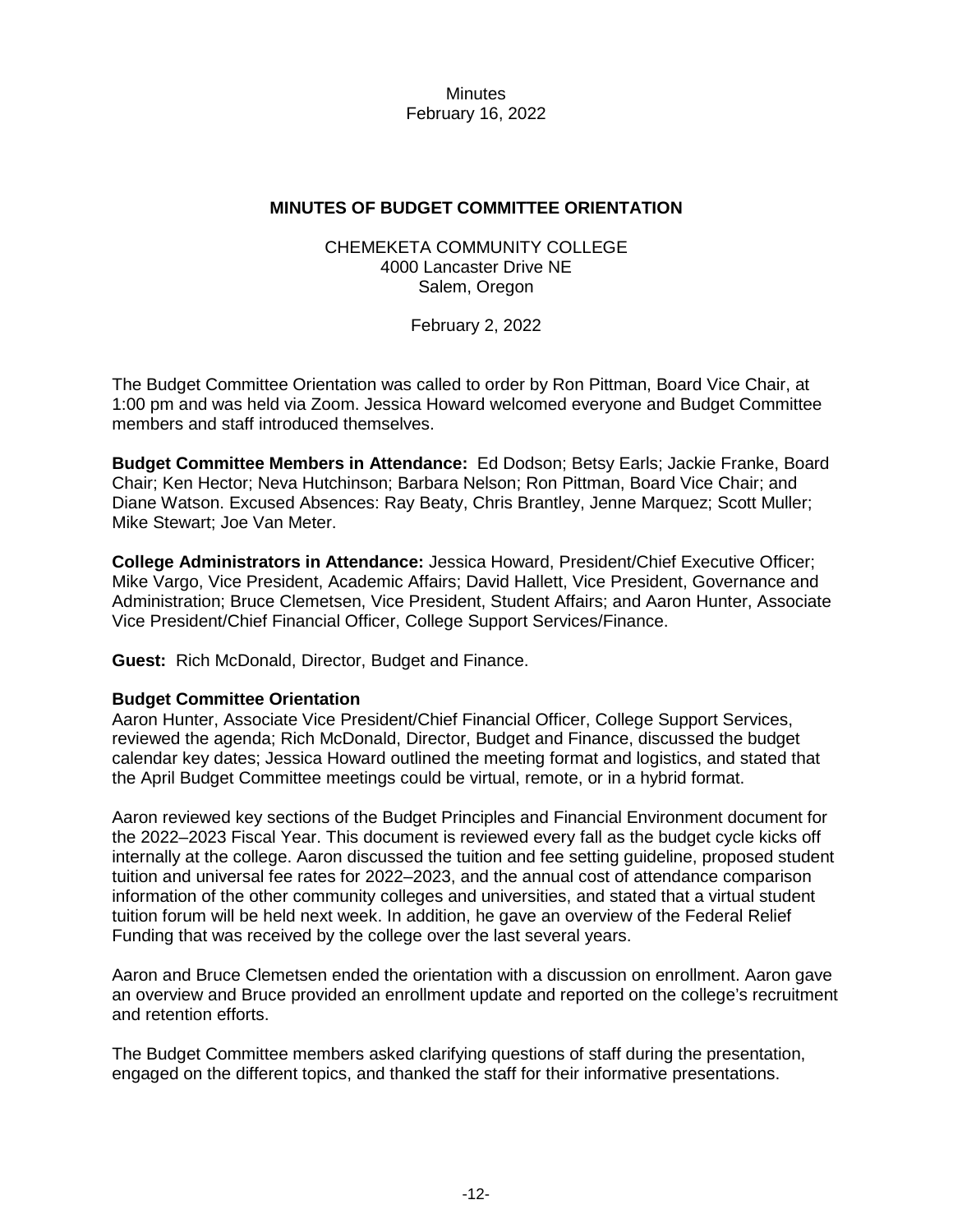**Minutes** February 16, 2022

## **MINUTES OF BUDGET COMMITTEE ORIENTATION**

## CHEMEKETA COMMUNITY COLLEGE 4000 Lancaster Drive NE Salem, Oregon

February 2, 2022

The Budget Committee Orientation was called to order by Ron Pittman, Board Vice Chair, at 1:00 pm and was held via Zoom. Jessica Howard welcomed everyone and Budget Committee members and staff introduced themselves.

**Budget Committee Members in Attendance:** Ed Dodson; Betsy Earls; Jackie Franke, Board Chair; Ken Hector; Neva Hutchinson; Barbara Nelson; Ron Pittman, Board Vice Chair; and Diane Watson. Excused Absences: Ray Beaty, Chris Brantley, Jenne Marquez; Scott Muller; Mike Stewart; Joe Van Meter.

**College Administrators in Attendance:** Jessica Howard, President/Chief Executive Officer; Mike Vargo, Vice President, Academic Affairs; David Hallett, Vice President, Governance and Administration; Bruce Clemetsen, Vice President, Student Affairs; and Aaron Hunter, Associate Vice President/Chief Financial Officer, College Support Services/Finance.

**Guest:** Rich McDonald, Director, Budget and Finance.

## **Budget Committee Orientation**

Aaron Hunter, Associate Vice President/Chief Financial Officer, College Support Services, reviewed the agenda; Rich McDonald, Director, Budget and Finance, discussed the budget calendar key dates; Jessica Howard outlined the meeting format and logistics, and stated that the April Budget Committee meetings could be virtual, remote, or in a hybrid format.

Aaron reviewed key sections of the Budget Principles and Financial Environment document for the 2022–2023 Fiscal Year. This document is reviewed every fall as the budget cycle kicks off internally at the college. Aaron discussed the tuition and fee setting guideline, proposed student tuition and universal fee rates for 2022–2023, and the annual cost of attendance comparison information of the other community colleges and universities, and stated that a virtual student tuition forum will be held next week. In addition, he gave an overview of the Federal Relief Funding that was received by the college over the last several years.

Aaron and Bruce Clemetsen ended the orientation with a discussion on enrollment. Aaron gave an overview and Bruce provided an enrollment update and reported on the college's recruitment and retention efforts.

The Budget Committee members asked clarifying questions of staff during the presentation, engaged on the different topics, and thanked the staff for their informative presentations.